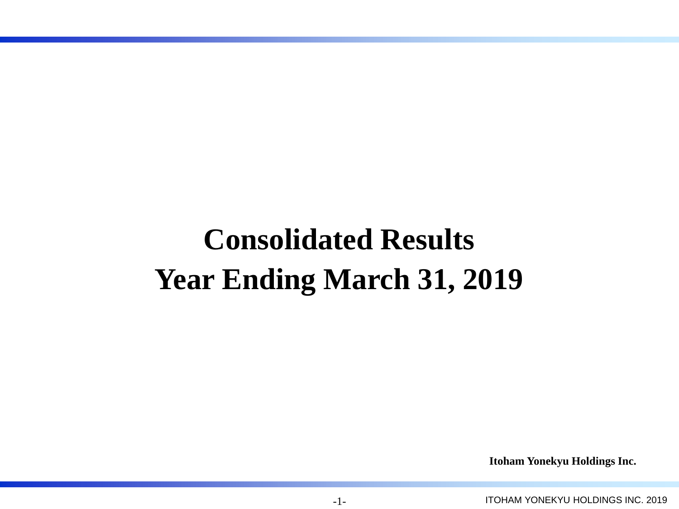# **Consolidated Results Year Ending March 31, 2019**

**Itoham Yonekyu Holdings Inc.**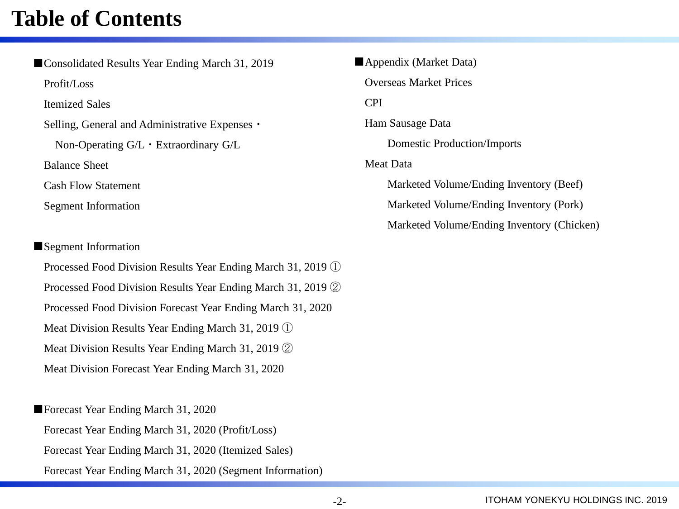## **Table of Contents**

■Consolidated Results Year Ending March 31, 2019 Profit/Loss Itemized Sales Selling, General and Administrative Expenses・ Non-Operating G/L・Extraordinary G/L Balance Sheet Cash Flow Statement Segment Information

### ■Segment Information

Processed Food Division Results Year Ending March 31, 2019 ① Processed Food Division Results Year Ending March 31, 2019 ② Processed Food Division Forecast Year Ending March 31, 2020 Meat Division Results Year Ending March 31, 2019 ① Meat Division Results Year Ending March 31, 2019 ② Meat Division Forecast Year Ending March 31, 2020

■Forecast Year Ending March 31, 2020 Forecast Year Ending March 31, 2020 (Profit/Loss) Forecast Year Ending March 31, 2020 (Itemized Sales) Forecast Year Ending March 31, 2020 (Segment Information) ■Appendix (Market Data) Overseas Market Prices CPI Ham Sausage Data Domestic Production/Imports Meat Data Marketed Volume/Ending Inventory (Beef) Marketed Volume/Ending Inventory (Pork) Marketed Volume/Ending Inventory (Chicken)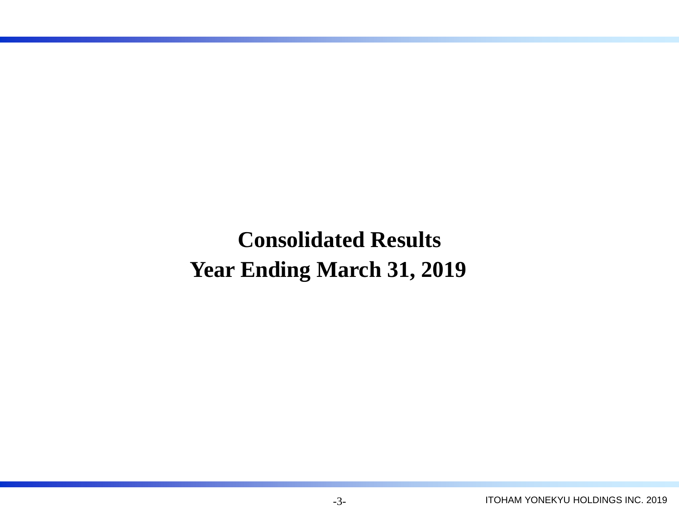**Consolidated Results Year Ending March 31, 2019**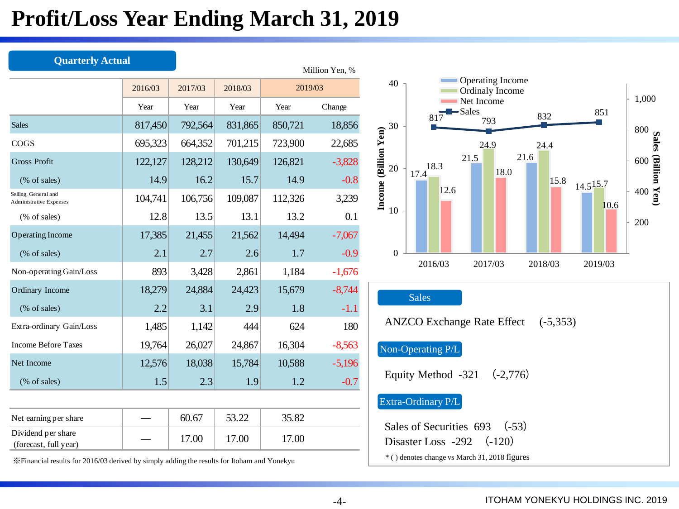## **Profit/Loss Year Ending March 31, 2019**

| <b>Quarterly Actual</b>                                |         |         |         |         | Million Yen, % |
|--------------------------------------------------------|---------|---------|---------|---------|----------------|
|                                                        | 2016/03 | 2017/03 | 2018/03 | 2019/03 |                |
|                                                        | Year    | Year    | Year    | Year    | Change         |
| <b>Sales</b>                                           | 817,450 | 792,564 | 831,865 | 850,721 | 18,856         |
| COGS                                                   | 695,323 | 664,352 | 701,215 | 723,900 | 22,685         |
| <b>Gross Profit</b>                                    | 122,127 | 128,212 | 130,649 | 126,821 | $-3,828$       |
| $(\%$ of sales)                                        | 14.9    | 16.2    | 15.7    | 14.9    | $-0.8$         |
| Selling, General and<br><b>Administrative Expenses</b> | 104,741 | 106,756 | 109,087 | 112,326 | 3,239          |
| $(\%$ of sales)                                        | 12.8    | 13.5    | 13.1    | 13.2    | 0.1            |
| <b>Operating Income</b>                                | 17,385  | 21,455  | 21,562  | 14,494  | $-7,067$       |
| (% of sales)                                           | 2.1     | 2.7     | 2.6     | 1.7     | $-0.9$         |
| Non-operating Gain/Loss                                | 893     | 3,428   | 2,861   | 1,184   | $-1,676$       |
| Ordinary Income                                        | 18,279  | 24,884  | 24,423  | 15,679  | $-8,744$       |
| (% of sales)                                           | 2.2     | 3.1     | 2.9     | 1.8     | $-1.1$         |
| Extra-ordinary Gain/Loss                               | 1,485   | 1,142   | 444     | 624     | 180            |
| <b>Income Before Taxes</b>                             | 19,764  | 26,027  | 24,867  | 16,304  | $-8,563$       |
| Net Income                                             | 12,576  | 18,038  | 15,784  | 10,588  | $-5,196$       |
| $(\%$ of sales)                                        | 1.5     | 2.3     | 1.9     | 1.2     | $-0.7$         |
|                                                        |         |         |         |         |                |
| Net earning per share                                  |         | 60.67   | 53.22   | 35.82   |                |
| Dividend per share<br>(forecast, full year)            |         | 17.00   | 17.00   | 17.00   |                |

※Financial results for 2016/03 derived by simply adding the results for Itoham and Yonekyu

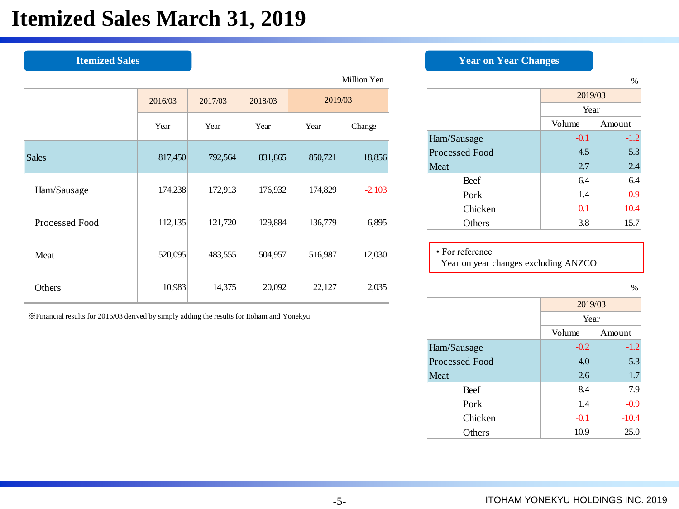## **Itemized Sales March 31, 2019**

|                |         |         |         |         | Million Yen |                                      |               |        |
|----------------|---------|---------|---------|---------|-------------|--------------------------------------|---------------|--------|
|                | 2016/03 | 2017/03 | 2018/03 | 2019/03 |             |                                      | 2019/03       |        |
|                |         |         |         |         |             |                                      | Year          |        |
|                | Year    | Year    | Year    | Year    | Change      |                                      | Volume        | Amount |
|                |         |         |         |         |             | Ham/Sausage                          | $-0.1$        | ۹      |
| <b>Sales</b>   | 817,450 | 792,564 | 831,865 | 850,721 | 18,856      | Processed Food                       | 4.5           |        |
|                |         |         |         |         |             | Meat                                 | 2.7           |        |
|                |         |         |         |         |             | Beef                                 | 6.4           |        |
| Ham/Sausage    | 174,238 | 172,913 | 176,932 | 174,829 | $-2,103$    | Pork                                 | 1.4           | $-$ (  |
|                |         |         |         |         |             | Chicken                              | $-0.1$        | $-1($  |
| Processed Food | 112,135 | 121,720 | 129,884 | 136,779 | 6,895       | Others                               | 3.8           | 1.     |
|                |         |         |         |         |             |                                      |               |        |
| Meat           | 520,095 | 483,555 | 504,957 | 516,987 | 12,030      | • For reference                      |               |        |
|                |         |         |         |         |             | Year on year changes excluding ANZCO |               |        |
| Others         | 10,983  | 14,375  | 20,092  | 22,127  | 2,035       |                                      |               |        |
|                |         |         |         |         |             |                                      | $\frac{1}{2}$ |        |

※Financial results for 2016/03 derived by simply adding the results for Itoham and Yonekyu

### **Itemized Sales** *Year on Year Changes*

| Million Yen |                |             |         | %       |  |  |  |
|-------------|----------------|-------------|---------|---------|--|--|--|
| /03         |                |             | 2019/03 |         |  |  |  |
|             |                |             | Year    |         |  |  |  |
| Change      |                |             | Volume  | Amount  |  |  |  |
|             |                | Ham/Sausage | $-0.1$  | $-1.2$  |  |  |  |
| 18,856      | Processed Food | 4.5         | 5.3     |         |  |  |  |
|             |                | Meat        | 2.7     | $2.4\,$ |  |  |  |
|             |                | Beef        | 6.4     | 6.4     |  |  |  |
| $-2,103$    |                | Pork        | 1.4     | $-0.9$  |  |  |  |
|             |                | Chicken     | $-0.1$  | $-10.4$ |  |  |  |
| 6,895       |                | Others      | 3.8     | 15.7    |  |  |  |
|             |                |             |         |         |  |  |  |

%

|                | 2019/03          |         |  |  |  |
|----------------|------------------|---------|--|--|--|
|                | Year             |         |  |  |  |
|                | Volume<br>Amount |         |  |  |  |
| Ham/Sausage    | $-0.2$           | $-1.2$  |  |  |  |
| Processed Food | 4.0              | 5.3     |  |  |  |
| Meat           | 2.6              | 1.7     |  |  |  |
| Beef           | 8.4              | 7.9     |  |  |  |
| Pork           | 1.4              | $-0.9$  |  |  |  |
| Chicken        | $-0.1$           | $-10.4$ |  |  |  |
| Others         | 10.9             | 25.0    |  |  |  |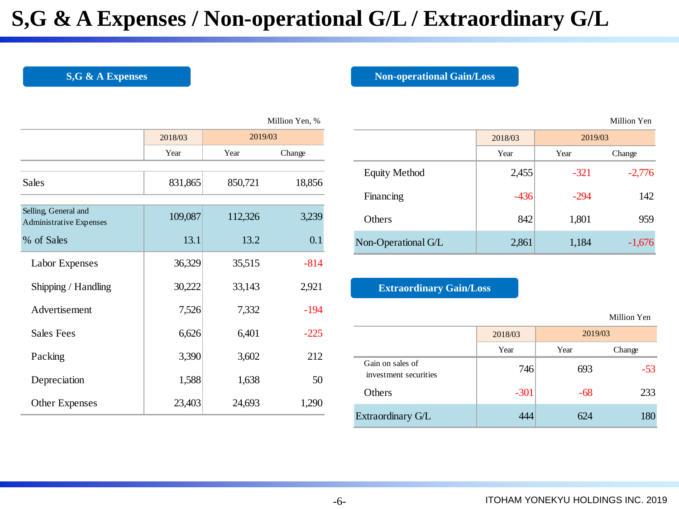## **S,G & A Expenses / Non-operational G/L / Extraordinary G/L**

**S,G & A Expenses Non-operational Gain/Loss** 

Million Yen

|                                                        |         |         | Million Yen, % |
|--------------------------------------------------------|---------|---------|----------------|
|                                                        | 2018/03 | 2019/03 |                |
|                                                        | Year    | Year    | Change         |
|                                                        |         |         |                |
| Sales                                                  | 831,865 | 850,721 | 18,856         |
|                                                        |         |         |                |
| Selling, General and<br><b>Administrative Expenses</b> | 109,087 | 112,326 | 3,239          |
| % of Sales                                             | 13.1    | 13.2    | 0.1            |
| Labor Expenses                                         | 36,329  | 35,515  | $-814$         |
| Shipping / Handling                                    | 30,222  | 33,143  | 2,921          |
| Advertisement                                          | 7,526   | 7,332   | $-194$         |
| <b>Sales Fees</b>                                      | 6,626   | 6,401   | $-225$         |
| Packing                                                | 3,390   | 3,602   | 212            |
| Depreciation                                           | 1,588   | 1,638   | 50             |
| <b>Other Expenses</b>                                  | 23,403  | 24,693  | 1,290          |

| 2018/03 | 2019/03 |        |                                | 2018/03 | 2019/03 |             |
|---------|---------|--------|--------------------------------|---------|---------|-------------|
| Year    | Year    | Change |                                | Year    | Year    | Change      |
| 831,865 | 850,721 | 18,856 | <b>Equity Method</b>           | 2,455   | $-321$  | $-2,776$    |
|         |         |        | Financing                      | $-436$  | $-294$  | 142         |
| 109,087 | 112,326 | 3,239  | Others                         | 842     | 1,801   | 959         |
| 13.1    | 13.2    | 0.1    | Non-Operational G/L            | 2,861   | 1,184   | $-1,676$    |
| 36,329  | 35,515  | $-814$ |                                |         |         |             |
| 30,222  | 33,143  | 2,921  | <b>Extraordinary Gain/Loss</b> |         |         |             |
| 7,526   | 7,332   | $-194$ |                                |         |         | Million Yen |
| 6,626   | 6,401   | $-225$ |                                | 2018/03 | 2019/03 |             |

### **Extraordinary Gain/Loss**

|                                           | 2018/03 |      | 2019/03 |
|-------------------------------------------|---------|------|---------|
|                                           | Year    | Year | Change  |
| Gain on sales of<br>investment securities | 746     | 693  | $-53$   |
| Others                                    | $-301$  | -68  | 233     |
| Extraordinary G/L                         | 444     | 624  | 180     |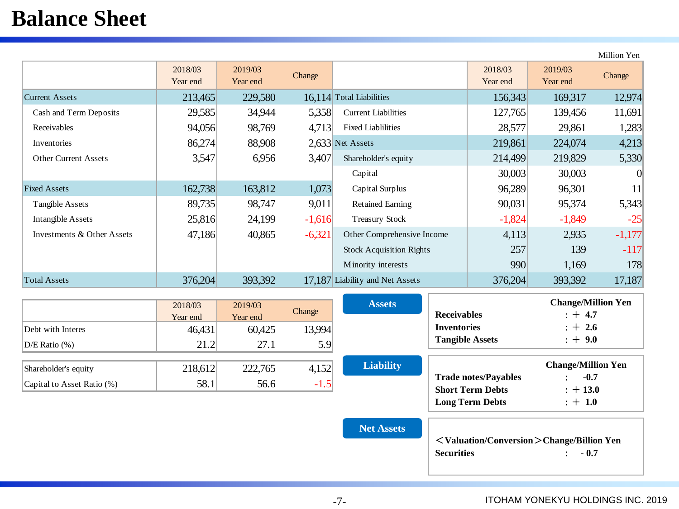## **Balance Sheet**

2018/03 Year end 2019/03 2019/03 Change 2018/03 Change 2018/03 Year end 2019/03 Year end Change Current Assets 213,465 229,580 16,114 Total Liabilities 156,343 169,317 12,974 Cash and Term Deposits 29,585 34,944 5,358 Current Liabilities 127,765 139,456 11,691 Receivables 1.283 1.283 Preceivables 1.283 Inventories 86,274 88,908 2,633 Net Assets 219,861 224,074 4,213 Other Current Assets 19,547 6,956 3,407 Shareholder's equity 214,499 219,829 5,330 Capital  $\begin{array}{|c|c|c|c|c|} \hline \end{array}$  30,003  $\begin{array}{|c|c|c|c|c|} \hline \end{array}$  30,003 0 Fixed Assets 162,738 163,812 1,073 Capital Surplus 96,289 96,301 11 Tangible Assets 89,735 98,747 9,011 Retained Earning 90,031 95,374 5,343 Intangible Assets 1. 25,816 24,199 -1,616 Treasury Stock 1.824 -1,829 -25 Investments & Other Assets 47,186 40,865 -6,321 Other Comprehensive Income 4,113 2,935 -1,177 Stock Acquisition Rights  $257$  139 -117 Minority interests 1,169 1,169 178 Total Assets 376,204 393,392 17,187 Liability and Net Assets 376,204 393,392 17,187 Million Yen

|                               | 2018/03<br>Year end | 2019/03<br>Year end | Change | <b>Assets</b>    | <b>Receivables</b>          | <b>Change/Million Yen</b><br>$: +4.7$ |
|-------------------------------|---------------------|---------------------|--------|------------------|-----------------------------|---------------------------------------|
| Debt with Interes             | 46,431              | 60,425              | 13,994 |                  | <b>Inventories</b>          | $: + 2.6$                             |
| $D/E$ Ratio $(\%)$            | 21.2                | 27.1                | 5.9    |                  | <b>Tangible Assets</b>      | $: + 9.0$                             |
| Shareholder's equity          | 218,612             | 222,765             | 4,152  | <b>Liability</b> | <b>Trade notes/Payables</b> | <b>Change/Million Yen</b><br>$-0.7$   |
| Capital to Asset Ratio $(\%)$ | 58.1                | 56.6                | $-1.5$ |                  | <b>Short Term Debts</b>     | $: +13.0$                             |

|  |  | <b>Net Assets</b> |  |
|--|--|-------------------|--|

<**Valuation/Conversion**>**Change/Billion Yen Securities** : **- 0.7**

**Long Term Debts**  $: +1.0$ 

-7-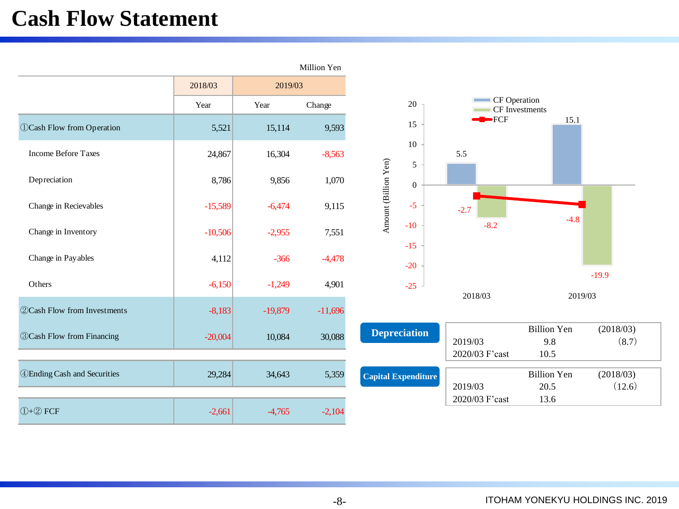## **Cash Flow Statement**

|                                     |           |           | Million Yen |                            |                     |                |                           |                            |         |         |                     |
|-------------------------------------|-----------|-----------|-------------|----------------------------|---------------------|----------------|---------------------------|----------------------------|---------|---------|---------------------|
|                                     | 2018/03   | 2019/03   |             |                            |                     |                |                           |                            |         |         |                     |
|                                     | Year      | Year      | Change      |                            | 20                  |                | CF Operation              | CF Investments             |         |         |                     |
| <b>OCash Flow from Operation</b>    | 5,521     | 15,114    | 9,593       |                            | 15                  |                | $\blacktriangleright$ FCF |                            | 15.1    |         |                     |
| <b>Income Before Taxes</b>          | 24,867    | 16,304    | $-8,563$    |                            | 10<br>5             | 5.5            |                           |                            |         |         |                     |
| Depreciation                        | 8,786     | 9,856     | 1,070       | Amount (Billion Yen)       | $\Omega$            |                |                           |                            |         |         |                     |
| Change in Recievables               | $-15,589$ | $-6,474$  | 9,115       |                            | $-5$                | $-2.7$         |                           |                            |         |         |                     |
| Change in Inventory                 | $-10,506$ | $-2,955$  | 7,551       |                            | $-10$<br>$-15$      |                | $-8.2$                    |                            | $-4.8$  |         |                     |
| Change in Payables                  | 4,112     | $-366$    | $-4,478$    |                            | $-20$               |                |                           |                            |         |         |                     |
| Others                              | $-6,150$  | $-1,249$  | 4,901       |                            | $-25$               | 2018/03        |                           |                            | 2019/03 | $-19.9$ |                     |
| <b>22Cash Flow from Investments</b> | $-8,183$  | $-19,879$ | $-11,696$   |                            |                     |                |                           |                            |         |         |                     |
| <b>3 Cash Flow from Financing</b>   | $-20,004$ | 10,084    | 30,088      |                            | <b>Depreciation</b> | 2019/03        |                           | <b>Billion Yen</b><br>9.8  |         |         | (2018/03)<br>(8.7)  |
|                                     |           |           |             |                            |                     | 2020/03 F'cast |                           | 10.5                       |         |         |                     |
| <b>4 Ending Cash and Securities</b> | 29,284    | 34,643    | 5,359       | <b>Capital Expenditure</b> |                     | 2019/03        |                           | <b>Billion Yen</b><br>20.5 |         |         | (2018/03)<br>(12.6) |
| $($ $)+$ $(2)$ FCF                  | $-2,661$  | $-4,765$  | $-2,104$    |                            |                     | 2020/03 F'cast |                           | 13.6                       |         |         |                     |

-8-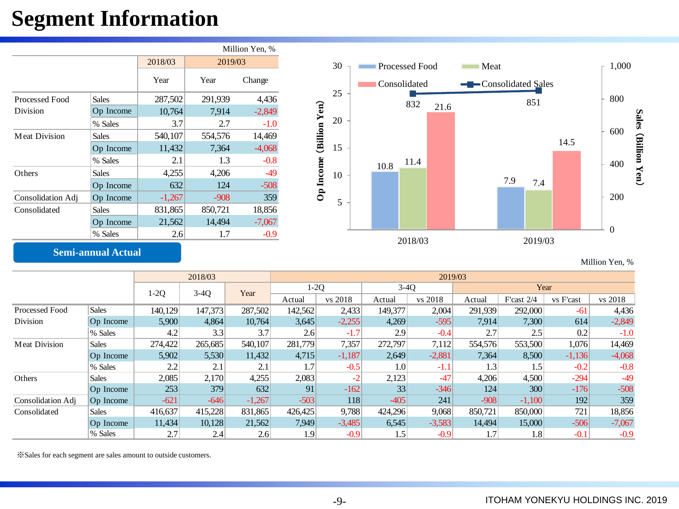## **Segment Information**

|                   |              |          |         | Million Yen, % |           |    |                       |      |              |      |                     |     |         |  |
|-------------------|--------------|----------|---------|----------------|-----------|----|-----------------------|------|--------------|------|---------------------|-----|---------|--|
|                   |              | 2018/03  | 2019/03 |                |           | 30 | <b>Processed Food</b> |      |              |      | Meat                |     |         |  |
|                   |              | Year     | Year    | Change         |           |    |                       |      | Consolidated |      | -Consolidated Sales |     |         |  |
| Processed Food    | <b>Sales</b> | 287,502  | 291,939 | 4,436          |           | 25 |                       |      | 832          |      |                     |     | 851     |  |
| <b>Division</b>   | Op Income    | 10,764   | 7,914   | $-2,849$       | Yen)      |    |                       |      |              | 21.6 |                     |     |         |  |
|                   | % Sales      | 3.7      | 2.7     | $-1.0$         |           | 20 |                       |      |              |      |                     |     |         |  |
| Meat Division     | <b>Sales</b> | 540,107  | 554,576 | 14,469         | (Billion  |    |                       |      |              |      |                     |     |         |  |
|                   | Op Income    | 11,432   | 7,364   | $-4,068$       |           | 15 |                       |      |              |      |                     |     |         |  |
|                   | % Sales      | 2.1      | 1.3     | $-0.8$         |           |    |                       | 10.8 | 11.4         |      |                     |     |         |  |
| Others            | <b>Sales</b> | 4,255    | 4,206   | $-49$          | Op Income | 10 |                       |      |              |      |                     |     |         |  |
|                   | Op Income    | 632      | 124     | $-508$         |           |    |                       |      |              |      |                     | 7.9 | 7.4     |  |
| Consolidation Adj | Op Income    | $-1,267$ | $-908$  | 359            |           | 5  |                       |      |              |      |                     |     |         |  |
| Consolidated      | <b>Sales</b> | 831,865  | 850,721 | 18,856         |           |    |                       |      |              |      |                     |     |         |  |
|                   | Op Income    | 21,562   | 14,494  | $-7,067$       |           |    |                       |      |              |      |                     |     |         |  |
|                   | % Sales      | 2.6      | 1.7     | $-0.9$         |           |    |                       |      |              |      |                     |     |         |  |
|                   |              |          |         |                |           |    |                       |      | 2018/03      |      |                     |     | 2019/03 |  |

### **Semi-annual Actual**

|                      |              |         | 2018/03 |          | 2019/03 |          |                  |          |         |              |           |          |  |
|----------------------|--------------|---------|---------|----------|---------|----------|------------------|----------|---------|--------------|-----------|----------|--|
|                      |              | $1-2Q$  | $3-4Q$  |          | $1-2Q$  |          | $3-4Q$           |          | Year    |              |           |          |  |
|                      |              |         |         | Year     | Actual  | vs 2018  | Actual           | vs 2018  | Actual  | F'cast $2/4$ | vs F'cast | vs 2018  |  |
| Processed Food       | <b>Sales</b> | 140,129 | 147,373 | 287,502  | 142,562 | 2,433    | 149,377          | 2,004    | 291,939 | 292,000      | $-61$     | 4,436    |  |
| Division             | Op Income    | 5,900   | 4,864   | 10,764   | 3,645   | $-2,255$ | 4,269            | $-595$   | 7,914   | 7,300        | 614       | $-2,849$ |  |
|                      | % Sales      | 4.2     | 3.3     | 3.7      | 2.6     | $-1.7$   | 2.9              | $-0.4$   | 2.7     | 2.5          | 0.2       | $-1.0$   |  |
| <b>Meat Division</b> | <b>Sales</b> | 274,422 | 265,685 | 540,107  | 281,779 | 7,357    | 272,797          | 7,112    | 554,576 | 553,500      | 1,076     | 14,469   |  |
|                      | Op Income    | 5,902   | 5,530   | 11,432   | 4,715   | $-1,187$ | 2,649            | $-2,881$ | 7,364   | 8,500        | $-1,136$  | $-4,068$ |  |
|                      | % Sales      | 2.2     | 2.1     | 2.1      | 1.7     | $-0.5$   | 1.0 <sub>l</sub> | $-1.1$   | 1.3     | 1.5          | $-0.2$    | $-0.8$   |  |
| Others               | <b>Sales</b> | 2,085   | 2,170   | 4,255    | 2,083   | -2       | 2,123            | $-47$    | 4,206   | 4,500        | $-294$    | $-49$    |  |
|                      | Op Income    | 253     | 379     | 632      | 91      | $-162$   | 33               | $-346$   | 124     | 300          | $-176$    | $-508$   |  |
| Consolidation Adj    | Op Income    | $-621$  | $-646$  | $-1,267$ | $-503$  | 118      | $-405$           | 241      | $-908$  | $-1,100$     | 192       | 359      |  |
| Consolidated         | <b>Sales</b> | 416,637 | 415,228 | 831,865  | 426,425 | 9,788    | 424,296          | 9,068    | 850,721 | 850,000      | 721       | 18,856   |  |
|                      | Op Income    | 11,434  | 10,128  | 21,562   | 7,949   | $-3,485$ | 6,545            | $-3,583$ | 14,494  | 15,000       | $-506$    | $-7,067$ |  |
|                      | % Sales      | 2.7     | 2.4     | 2.6      | 1.9     | $-0.9$   | 1.5              | $-0.9$   | 1.7     | 1.8          | $-0.1$    | $-0.9$   |  |

※Sales for each segment are sales amount to outside customers.

Million Yen, %

0

200

400

600

**Sales** (

**Billion Yen**

 $\check{ }$ 

800

1,000

14.5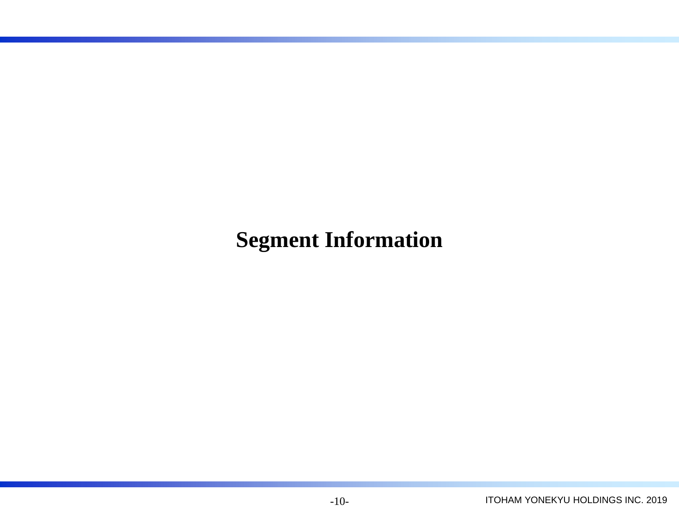## **Segment Information**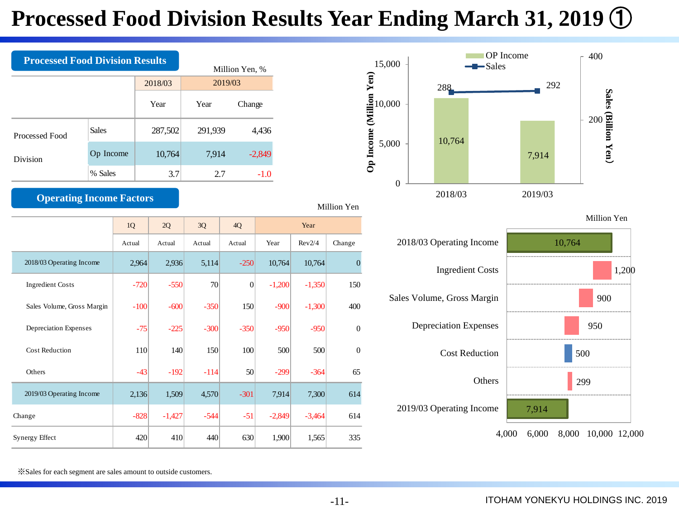## **Processed Food Division Results Year Ending March 31, 2019** ①

| <b>Processed Food Division Results</b> | Million Yen, % |         |         |          |  |  |
|----------------------------------------|----------------|---------|---------|----------|--|--|
|                                        |                | 2018/03 | 2019/03 |          |  |  |
|                                        |                | Year    | Year    | Change   |  |  |
| Processed Food                         | <b>Sales</b>   | 287,502 | 291,939 | 4,436    |  |  |
| Division                               | Op Income      | 10,764  | 7,914   | $-2,849$ |  |  |
|                                        | % Sales        | 3.7     | 2.7     | $-1.0$   |  |  |

### **Operating Income Factors**

Million Yen

|                            | 1Q     | 2Q       | 3Q     | 4Q              | Year     |          |                |
|----------------------------|--------|----------|--------|-----------------|----------|----------|----------------|
|                            | Actual | Actual   | Actual | Actual          | Year     | Rev2/4   | Change         |
| 2018/03 Operating Income   | 2,964  | 2,936    | 5,114  | $-250$          | 10,764   | 10,764   | $\overline{0}$ |
| <b>Ingredient Costs</b>    | $-720$ | $-550$   | 70     | $\overline{0}$  | $-1,200$ | $-1,350$ | 150            |
| Sales Volume, Gross Margin | $-100$ | $-600$   | $-350$ | 150             | $-900$   | $-1,300$ | 400            |
| Depreciation Expenses      | $-75$  | $-225$   | $-300$ | $-350$          | $-950$   | $-950$   | $\mathbf{0}$   |
| <b>Cost Reduction</b>      | 110    | 140      | 150    | 100             | 500      | 500      | $\overline{0}$ |
| Others                     | $-43$  | $-192$   | $-114$ | 50 <sup>1</sup> | $-299$   | $-364$   | 65             |
| 2019/03 Operating Income   | 2,136  | 1,509    | 4,570  | $-301$          | 7,914    | 7,300    | 614            |
| Change                     | $-828$ | $-1,427$ | $-544$ | $-51$           | $-2,849$ | $-3,464$ | 614            |
| Synergy Effect             | 420    | 410      | 440    | 630             | 1,900    | 1,565    | 335            |



Million Yen



※Sales for each segment are sales amount to outside customers.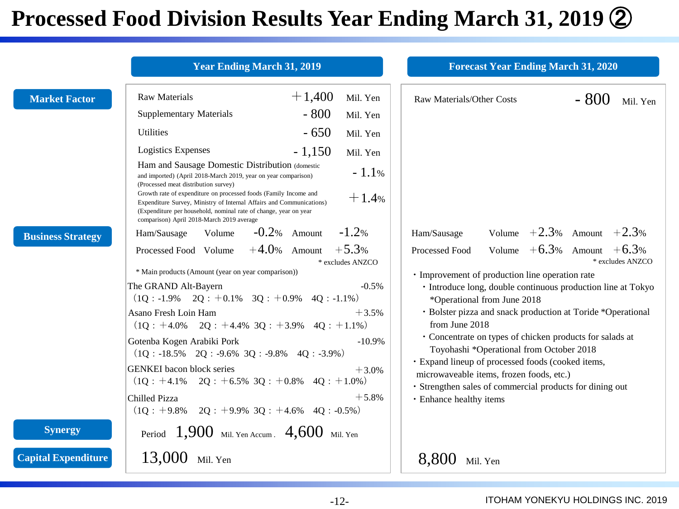## **Processed Food Division Results Year Ending March 31, 2019** ②

|                            | <b>Year Ending March 31, 2019</b>                                                                                                                                                                                                                                                                                                                                                                                                            | <b>Forecast Year Ending March 31, 2020</b>                                                                                                                |
|----------------------------|----------------------------------------------------------------------------------------------------------------------------------------------------------------------------------------------------------------------------------------------------------------------------------------------------------------------------------------------------------------------------------------------------------------------------------------------|-----------------------------------------------------------------------------------------------------------------------------------------------------------|
| <b>Market Factor</b>       | $+1,400$<br><b>Raw Materials</b><br>Mil. Yen<br>$-800$<br><b>Supplementary Materials</b><br>Mil. Yen                                                                                                                                                                                                                                                                                                                                         | $-800$<br>Raw Materials/Other Costs<br>Mil. Yen                                                                                                           |
|                            | $-650$<br><b>Utilities</b><br>Mil. Yen                                                                                                                                                                                                                                                                                                                                                                                                       |                                                                                                                                                           |
|                            | <b>Logistics Expenses</b><br>$-1,150$<br>Mil. Yen                                                                                                                                                                                                                                                                                                                                                                                            |                                                                                                                                                           |
|                            | Ham and Sausage Domestic Distribution (domestic<br>$-1.1%$<br>and imported) (April 2018-March 2019, year on year comparison)<br>(Processed meat distribution survey)<br>Growth rate of expenditure on processed foods (Family Income and<br>$+1.4%$<br>Expenditure Survey, Ministry of Internal Affairs and Communications)<br>(Expenditure per household, nominal rate of change, year on year<br>comparison) April 2018-March 2019 average |                                                                                                                                                           |
| <b>Business Strategy</b>   | $-0.2%$ Amount<br>$-1.2%$<br>Volume<br>Ham/Sausage                                                                                                                                                                                                                                                                                                                                                                                           | Volume $+2.3\%$ Amount $+2.3\%$<br>Ham/Sausage                                                                                                            |
|                            | $+4.0$ % Amount $+5.3$ %<br>Processed Food Volume<br>* excludes ANZCO                                                                                                                                                                                                                                                                                                                                                                        | Volume $+6.3\%$ Amount $+6.3\%$<br>Processed Food<br>* excludes ANZCO                                                                                     |
|                            | * Main products (Amount (year on year comparison))                                                                                                                                                                                                                                                                                                                                                                                           | · Improvement of production line operation rate                                                                                                           |
|                            | The GRAND Alt-Bayern<br>$-0.5\%$                                                                                                                                                                                                                                                                                                                                                                                                             | • Introduce long, double continuous production line at Tokyo                                                                                              |
|                            | $(1Q: -1.9\% \quad 2Q: +0.1\% \quad 3Q: +0.9\% \quad 4Q: -1.1\%)$<br>Asano Fresh Loin Ham<br>$+3.5%$<br>$(1Q : +4.0\%$ $2Q : +4.4\%$ $3Q : +3.9\%$ $4Q : +1.1\%$                                                                                                                                                                                                                                                                             | *Operational from June 2018<br>· Bolster pizza and snack production at Toride *Operational<br>from June 2018                                              |
|                            | Gotenba Kogen Arabiki Pork<br>$-10.9%$<br>$(1Q : -18.5\% \quad 2Q : -9.6\% \quad 3Q : -9.8\% \quad 4Q : -3.9\%)$                                                                                                                                                                                                                                                                                                                             | • Concentrate on types of chicken products for salads at<br>Toyohashi *Operational from October 2018<br>· Expand lineup of processed foods (cooked items, |
|                            | <b>GENKEI</b> bacon block series<br>$+3.0%$<br>$(1Q : +4.1\%$ $2Q : +6.5\%$ $3Q : +0.8\%$ $4Q : +1.0\%)$                                                                                                                                                                                                                                                                                                                                     | microwaveable items, frozen foods, etc.)<br>· Strengthen sales of commercial products for dining out                                                      |
|                            | $+5.8%$<br>Chilled Pizza<br>$(1Q : +9.8\% \quad 2Q : +9.9\% \quad 3Q : +4.6\% \quad 4Q : -0.5\%)$                                                                                                                                                                                                                                                                                                                                            | · Enhance healthy items                                                                                                                                   |
| <b>Synergy</b>             | Period $1,900$ Mil. Yen Accum. $4,600$ Mil. Yen                                                                                                                                                                                                                                                                                                                                                                                              |                                                                                                                                                           |
| <b>Capital Expenditure</b> | $13,000$ Mil. Yen                                                                                                                                                                                                                                                                                                                                                                                                                            | 8,800 Mil. Yen                                                                                                                                            |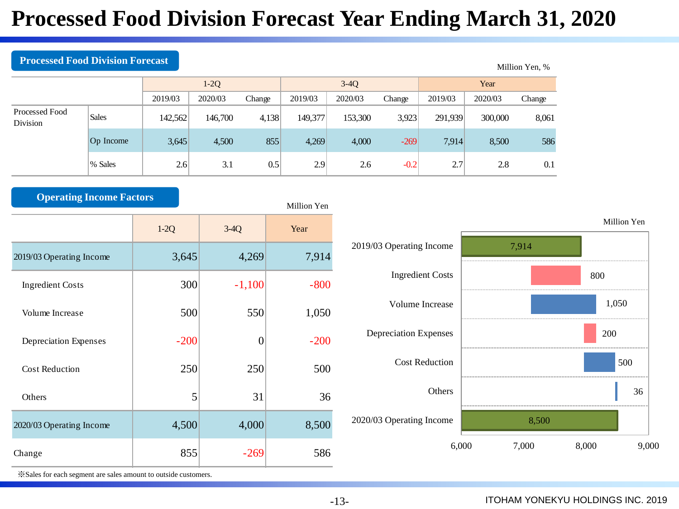## **Processed Food Division Forecast Year Ending March 31, 2020**

| T TUCCSSCU TUURI DI BISROIT TULCCUST |              |         |         |        |         |         |        |         |         | Million Yen, % |  |
|--------------------------------------|--------------|---------|---------|--------|---------|---------|--------|---------|---------|----------------|--|
|                                      |              |         | $1-2Q$  |        |         | $3-4Q$  |        | Year    |         |                |  |
| 2019/03                              |              |         | 2020/03 | Change | 2019/03 | 2020/03 | Change | 2019/03 | 2020/03 | Change         |  |
| Processed Food<br>Division           | <b>Sales</b> | 142,562 | 146,700 | 4,138  | 149,377 | 153,300 | 3,923  | 291,939 | 300,000 | 8,061          |  |
|                                      | Op Income    | 3,645   | 4,500   | 855    | 4,269   | 4,000   | $-269$ | 7,914   | 8,500   | 586            |  |
|                                      | % Sales      | 2.6     | 3.1     | 0.5    | 2.9     | 2.6     | $-0.2$ | 2.7     | 2.8     | 0.1            |  |

| <b>Operating Income Factors</b> |        |          | Million Yen |
|---------------------------------|--------|----------|-------------|
|                                 | $1-2Q$ | $3-4Q$   | Year        |
| 2019/03 Operating Income        | 3,645  | 4,269    | 7,914       |
| <b>Ingredient Costs</b>         | 300    | $-1,100$ | $-800$      |
| Volume Increase                 | 500    | 550      | 1,050       |
| Depreciation Expenses           | $-200$ | $\theta$ | $-200$      |
| <b>Cost Reduction</b>           | 250    | 250      | 500         |
| Others                          | 5      | 31       | 36          |
| 2020/03 Operating Income        | 4,500  | 4,000    | 8,500       |
| Change                          | 855    | $-269$   | 586         |



※Sales for each segment are sales amount to outside customers.

**Processed Food Division Foreca** 

### -13- ITOHAM YONEKYU HOLDINGS INC. 2019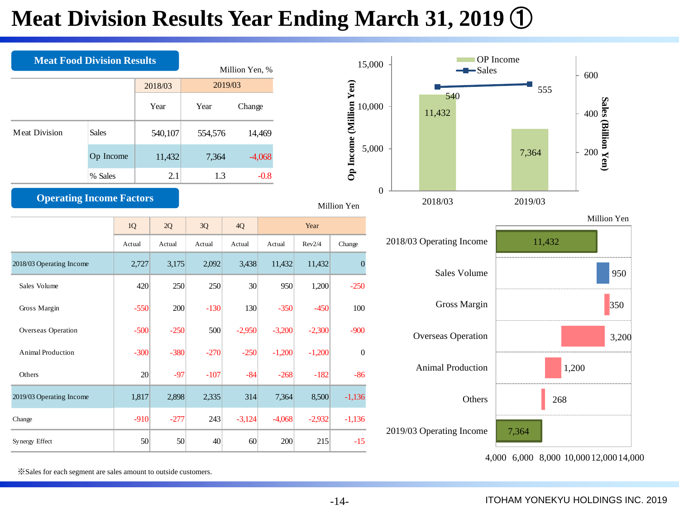## **Meat Division Results Year Ending March 31, 2019** ①



※Sales for each segment are sales amount to outside customers.

-14- ITOHAM YONEKYU HOLDINGS INC. 2019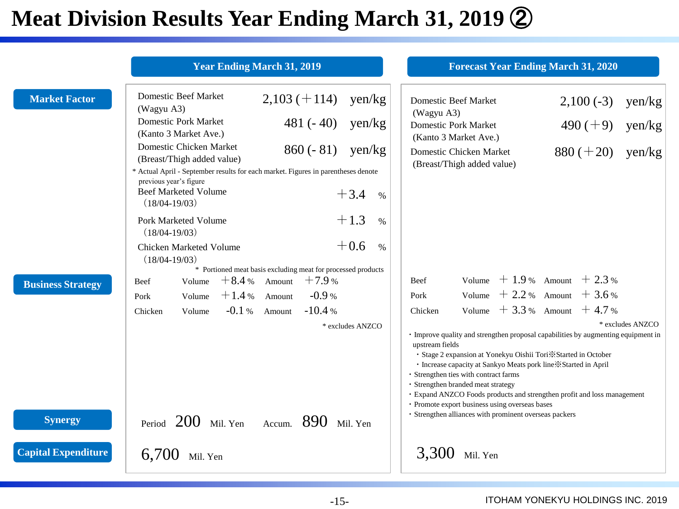# **Meat Division Results Year Ending March 31, 2019** ②

|                            | <b>Year Ending March 31, 2019</b>                                                                                                          |                                                              |                  | <b>Forecast Year Ending March 31, 2020</b>                                                                                                                                                                                                                                                                                                                                                                                                                                                                       |                                 |                  |
|----------------------------|--------------------------------------------------------------------------------------------------------------------------------------------|--------------------------------------------------------------|------------------|------------------------------------------------------------------------------------------------------------------------------------------------------------------------------------------------------------------------------------------------------------------------------------------------------------------------------------------------------------------------------------------------------------------------------------------------------------------------------------------------------------------|---------------------------------|------------------|
| <b>Market Factor</b>       | <b>Domestic Beef Market</b><br>(Wagyu A3)                                                                                                  | $2,103 (+114)$                                               | $\gamma$ en/kg   | <b>Domestic Beef Market</b><br>(Wagyu A3)                                                                                                                                                                                                                                                                                                                                                                                                                                                                        | $2,100(-3)$                     | $\gamma$ en/kg   |
|                            | <b>Domestic Pork Market</b><br>(Kanto 3 Market Ave.)                                                                                       | $481(-40)$                                                   | yen/kg           | <b>Domestic Pork Market</b><br>(Kanto 3 Market Ave.)                                                                                                                                                                                                                                                                                                                                                                                                                                                             | $490 (+9)$                      | yen/kg           |
|                            | Domestic Chicken Market<br>(Breast/Thigh added value)<br>* Actual April - September results for each market. Figures in parentheses denote | $860(-81)$                                                   | $\gamma$ en/kg   | Domestic Chicken Market<br>(Breast/Thigh added value)                                                                                                                                                                                                                                                                                                                                                                                                                                                            | $880 (+20)$                     | $\gamma$ en/kg   |
|                            | previous year's figure<br><b>Beef Marketed Volume</b><br>$(18/04-19/03)$                                                                   |                                                              | $+3.4$<br>$\%$   |                                                                                                                                                                                                                                                                                                                                                                                                                                                                                                                  |                                 |                  |
|                            | Pork Marketed Volume<br>$(18/04-19/03)$                                                                                                    |                                                              | $+1.3$<br>$\%$   |                                                                                                                                                                                                                                                                                                                                                                                                                                                                                                                  |                                 |                  |
|                            | Chicken Marketed Volume<br>$(18/04-19/03)$                                                                                                 | * Portioned meat basis excluding meat for processed products | $+0.6$<br>$\%$   |                                                                                                                                                                                                                                                                                                                                                                                                                                                                                                                  |                                 |                  |
| <b>Business Strategy</b>   | Volume<br>Beef                                                                                                                             | $+8.4%$ Amount<br>$+7.9%$                                    |                  | Beef                                                                                                                                                                                                                                                                                                                                                                                                                                                                                                             | Volume $+1.9%$ Amount $+2.3%$   |                  |
|                            | Volume<br>Pork                                                                                                                             | $+1.4%$ Amount<br>$-0.9%$                                    |                  | Pork                                                                                                                                                                                                                                                                                                                                                                                                                                                                                                             | Volume $+2.2 %$ Amount $+3.6 %$ |                  |
|                            | Chicken<br>Volume                                                                                                                          | $-0.1\%$ Amount<br>$-10.4%$                                  |                  | Chicken                                                                                                                                                                                                                                                                                                                                                                                                                                                                                                          | Volume $+3.3 %$ Amount $+4.7 %$ |                  |
|                            |                                                                                                                                            |                                                              | * excludes ANZCO | • Improve quality and strengthen proposal capabilities by augmenting equipment in<br>upstream fields<br>• Stage 2 expansion at Yonekyu Oishii Tori * Started in October<br>· Increase capacity at Sankyo Meats pork line *Started in April<br>· Strengthen ties with contract farms<br>· Strengthen branded meat strategy<br>· Expand ANZCO Foods products and strengthen profit and loss management<br>• Promote export business using overseas bases<br>· Strengthen alliances with prominent overseas packers |                                 | * excludes ANZCO |
| <b>Synergy</b>             | Period $200$ Mil. Yen Accum. $890$ Mil. Yen                                                                                                |                                                              |                  |                                                                                                                                                                                                                                                                                                                                                                                                                                                                                                                  |                                 |                  |
| <b>Capital Expenditure</b> | $6,700$ Mil. Yen                                                                                                                           |                                                              |                  | 3,300<br>Mil. Yen                                                                                                                                                                                                                                                                                                                                                                                                                                                                                                |                                 |                  |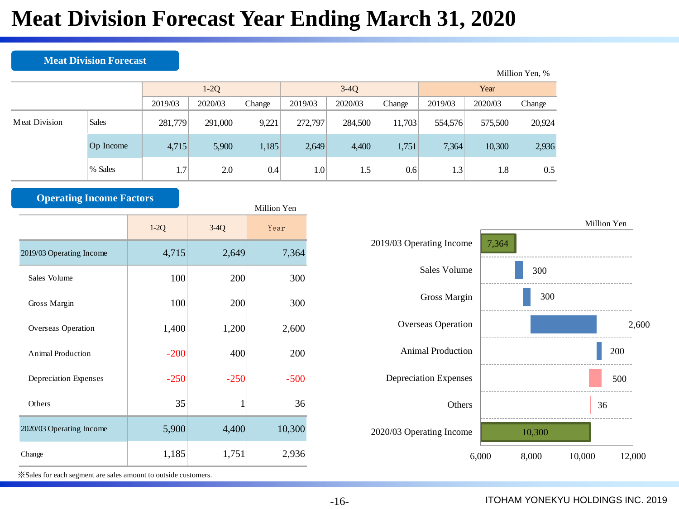## **Meat Division Forecast Year Ending March 31, 2020**

### **Meat Division Forecast**

|                      |              |             |         |        |                  |         |        |                  |         | Million Yen, % |  |
|----------------------|--------------|-------------|---------|--------|------------------|---------|--------|------------------|---------|----------------|--|
|                      |              | $1-2Q$      |         |        |                  | $3-4Q$  |        | Year             |         |                |  |
|                      |              | 2019/03     | 2020/03 | Change | 2019/03          | 2020/03 | Change | 2019/03          | 2020/03 | Change         |  |
| <b>Meat Division</b> | <b>Sales</b> | 281,779     | 291,000 | 9,221  | 272,797          | 284,500 | 11,703 | 554,576          | 575,500 | 20,924         |  |
|                      | Op Income    | 4,715       | 5,900   | 1,185  | 2,649            | 4,400   | 1,751  | 7,364            | 10,300  | 2,936          |  |
|                      | % Sales      | $1.7^\circ$ | 2.0     | 0.4    | 1.0 <sup>1</sup> | 1.5     | 0.6    | 1.3 <sup>1</sup> | 1.8     | 0.5            |  |

| <b>Operating Income Factors</b> |        |        | Million Yen |
|---------------------------------|--------|--------|-------------|
|                                 | $1-2Q$ | $3-4Q$ | Year        |
| 2019/03 Operating Income        | 4,715  | 2,649  | 7,364       |
| Sales Volume                    | 100    | 200    | 300         |
| Gross Margin                    | 100    | 200    | 300         |
| Overseas Operation              | 1,400  | 1,200  | 2,600       |
| Animal Production               | $-200$ | 400    | 200         |
| Depreciation Expenses           | $-250$ | $-250$ | $-500$      |
| Others                          | 35     | 1      | 36          |
| 2020/03 Operating Income        | 5,900  | 4,400  | 10,300      |
| Change                          | 1,185  | 1,751  | 2,936       |



※Sales for each segment are sales amount to outside customers.

### -16- ITOHAM YONEKYU HOLDINGS INC. 2019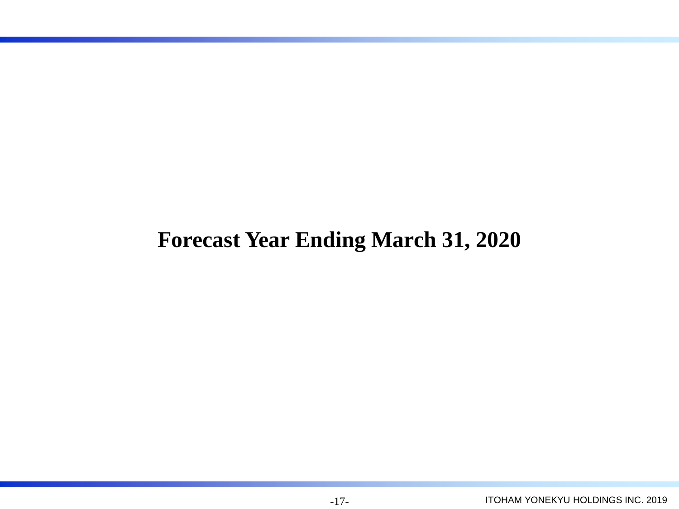## **Forecast Year Ending March 31, 2020**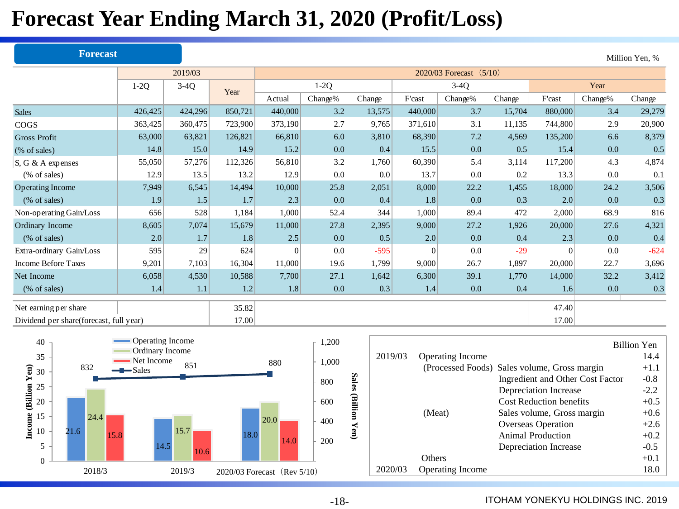## **Forecast Year Ending March 31, 2020 (Profit/Loss)**

|                                         | <b>Forecast</b> |         |         |          |         |        |          |                           |        |          |         | Million Yen, % |
|-----------------------------------------|-----------------|---------|---------|----------|---------|--------|----------|---------------------------|--------|----------|---------|----------------|
|                                         |                 | 2019/03 |         |          |         |        |          | 2020/03 Forecast $(5/10)$ |        |          |         |                |
| $1-2Q$                                  |                 | $3-4Q$  | Year    |          | $1-2Q$  |        |          | $3-4Q$                    |        | Year     |         |                |
|                                         |                 |         |         | Actual   | Change% | Change | F'cast   | Change%                   | Change | F'cast   | Change% | Change         |
| <b>Sales</b>                            | 426,425         | 424,296 | 850,721 | 440,000  | 3.2     | 13,575 | 440,000  | 3.7                       | 15,704 | 880,000  | 3.4     | 29,279         |
| <b>COGS</b>                             | 363,425         | 360,475 | 723,900 | 373,190  | 2.7     | 9,765  | 371,610  | 3.1                       | 11,135 | 744,800  | 2.9     | 20,900         |
| <b>Gross Profit</b>                     | 63,000          | 63,821  | 126,821 | 66,810   | 6.0     | 3,810  | 68,390   | 7.2                       | 4,569  | 135,200  | 6.6     | 8,379          |
| (% of sales)                            | 14.8            | 15.0    | 14.9    | 15.2     | 0.0     | 0.4    | 15.5     | 0.0                       | 0.5    | 15.4     | 0.0     | 0.5            |
| S, G & A expenses                       | 55,050          | 57,276  | 112,326 | 56,810   | 3.2     | 1,760  | 60,390   | 5.4                       | 3,114  | 117,200  | 4.3     | 4,874          |
| (% of sales)                            | 12.9            | 13.5    | 13.2    | 12.9     | 0.0     | 0.0    | 13.7     | 0.0                       | 0.2    | 13.3     | 0.0     | 0.1            |
| <b>Operating Income</b>                 | 7,949           | 6,545   | 14,494  | 10,000   | 25.8    | 2,051  | 8,000    | 22.2                      | 1,455  | 18,000   | 24.2    | 3,506          |
| (% of sales)                            | 1.9             | 1.5     | 1.7     | 2.3      | 0.0     | 0.4    | 1.8      | 0.0                       | 0.3    | 2.0      | 0.0     | 0.3            |
| Non-operating Gain/Loss                 | 656             | 528     | 1,184   | 1,000    | 52.4    | 344    | 1,000    | 89.4                      | 472    | 2,000    | 68.9    | 816            |
| Ordinary Income                         | 8,605           | 7,074   | 15,679  | 11,000   | 27.8    | 2,395  | 9,000    | 27.2                      | 1,926  | 20,000   | 27.6    | 4,321          |
| (% of sales)                            | 2.0             | 1.7     | 1.8     | 2.5      | 0.0     | 0.5    | 2.0      | 0.0                       | 0.4    | 2.3      | 0.0     | 0.4            |
| Extra-ordinary Gain/Loss                | 595             | 29      | 624     | $\Omega$ | 0.0     | $-595$ | $\theta$ | 0.0                       | $-29$  | $\Omega$ | 0.0     | $-624$         |
| <b>Income Before Taxes</b>              | 9,201           | 7,103   | 16,304  | 11,000   | 19.6    | 1,799  | 9,000    | 26.7                      | 1,897  | 20,000   | 22.7    | 3,696          |
| Net Income                              | 6,058           | 4,530   | 10,588  | 7,700    | 27.1    | 1,642  | 6,300    | 39.1                      | 1,770  | 14,000   | 32.2    | 3,412          |
| $(\% \text{ of sales})$                 | 1.4             | 1.1     | 1.2     | 1.8      | 0.0     | 0.3    | 1.4      | 0.0                       | 0.4    | 1.6      | 0.0     | 0.3            |
| Net earning per share                   |                 |         | 35.82   |          |         |        |          |                           |        | 47.40    |         |                |
| Dividend per share(forecast, full year) |                 |         | 17.00   |          |         |        |          |                           |        | 17.00    |         |                |



|         |                         |                                              | <b>Billion Yen</b> |
|---------|-------------------------|----------------------------------------------|--------------------|
| 2019/03 | <b>Operating Income</b> |                                              | 14.4               |
|         |                         | (Processed Foods) Sales volume, Gross margin | $+1.1$             |
|         |                         | Ingredient and Other Cost Factor             | $-0.8$             |
|         |                         | Depreciation Increase                        | $-2.2$             |
|         |                         | <b>Cost Reduction benefits</b>               | $+0.5$             |
|         | (Meat)                  | Sales volume, Gross margin                   | $+0.6$             |
|         |                         | Overseas Operation                           | $+2.6$             |
|         |                         | Animal Production                            | $+0.2$             |
|         |                         | Depreciation Increase                        | $-0.5$             |
|         | <b>Others</b>           |                                              | $+0.1$             |
| 2020/03 | <b>Operating Income</b> |                                              | 18.0               |

**Sales (Billion Yen)**

Sales (Billion Yen)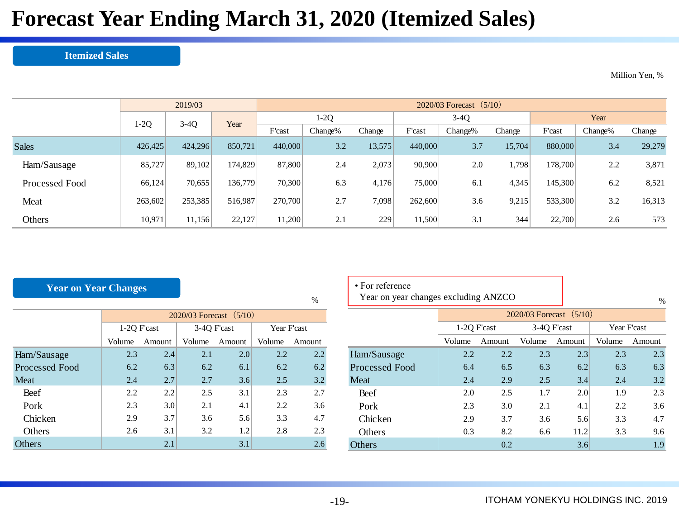## **Forecast Year Ending March 31, 2020 (Itemized Sales)**

#### **Itemized Sales**

Million Yen, %

|                |                  | 2019/03 |         | $2020/03$ Forecast $(5/10)$ |         |        |         |         |        |         |         |        |  |
|----------------|------------------|---------|---------|-----------------------------|---------|--------|---------|---------|--------|---------|---------|--------|--|
|                | $3-4Q$<br>$1-2Q$ |         | Year    |                             | $1-2Q$  |        | $3-4Q$  |         |        |         | Year    |        |  |
|                |                  |         |         | F'cast                      | Change% | Change | F'cast  | Change% | Change | F'cast  | Change% | Change |  |
| <b>Sales</b>   | 426,425          | 424,296 | 850.721 | 440,000                     | 3.2     | 13,575 | 440,000 | 3.7     | 15,704 | 880,000 | 3.4     | 29,279 |  |
| Ham/Sausage    | 85,727           | 89,102  | 174.829 | 87,800                      | 2.4     | 2,073  | 90,900  | 2.0     | 1,798  | 178,700 | 2.2     | 3,871  |  |
| Processed Food | 66,124           | 70,655  | 136,779 | 70.300                      | 6.3     | 4,176  | 75,000  | 6.1     | 4,345  | 145,300 | 6.2     | 8,521  |  |
| Meat           | 263,602          | 253,385 | 516,987 | 270,700                     | 2.7     | 7,098  | 262,600 | 3.6     | 9,215  | 533,300 | 3.2     | 16,313 |  |
| Others         | 10.971           | 11,156  | 22,127  | 11,200                      | 2.1     | 229    | 11,500  | 3.1     | 344    | 22,700  | 2.6     | 573    |  |

%

### **Year on Year Changes**

|                |             |        | $2020/03$ Forecast $(5/10)$ |        |             |         |  |
|----------------|-------------|--------|-----------------------------|--------|-------------|---------|--|
|                | 1-20 F'cast |        | 3-4Q F'cast                 |        | Year F'cast |         |  |
|                | Volume      | Amount | Volume                      | Amount | Volume      | Amount  |  |
| Ham/Sausage    | 2.3         | 2.4    | 2.1                         | 2.0    | 2.2         | $2.2\,$ |  |
| Processed Food | 6.2         | 6.3    | 6.2                         | 6.1    | 6.2         | 6.2     |  |
| Meat           | 2.4         | 2.7    | 2.7                         | 3.6    | 2.5         | 3.2     |  |
| Beef           | 2.2         | 2.2    | 2.5                         | 3.1    | 2.3         | 2.7     |  |
| Pork           | 2.3         | 3.0    | 2.1                         | 4.1    | 2.2         | 3.6     |  |
| Chicken        | 2.9         | 3.7    | 3.6                         | 5.6    | 3.3         | 4.7     |  |
| Others         | 2.6         | 3.1    | 3.2                         | 1.2    | 2.8         | 2.3     |  |
| Others         |             | 2.1    |                             | 3.1    |             | 2.6     |  |

| • For reference<br>Year on year changes excluding ANZCO |             |        | %                           |        |             |        |  |  |
|---------------------------------------------------------|-------------|--------|-----------------------------|--------|-------------|--------|--|--|
|                                                         |             |        | $2020/03$ Forecast $(5/10)$ |        |             |        |  |  |
|                                                         | 1-20 F'cast |        | 3-40 F'cast                 |        | Year F'cast |        |  |  |
|                                                         | Volume      | Amount | Volume                      | Amount | Volume      | Amount |  |  |
| Ham/Sausage                                             | 2.2         | 2.2    | 2.3                         | 2.3    | 2.3         | 2.3    |  |  |
| Processed Food                                          | 6.4         | 6.5    | 6.3                         | 6.2    | 6.3         | 6.3    |  |  |
| Meat                                                    | 2.4         | 2.9    | 2.5                         | 3.4    | 2.4         | 3.2.   |  |  |

Beef 2.0 2.5 1.7 2.0 1.9 2.3 Pork 2.3 3.0 2.1 4.1 2.2 3.6 Chicken | 2.9 3.7 3.6 5.6 3.3 4.7 Others 1.2 0.3 8.2 6.6 11.2 3.3 9.6 Others  $0.2$  3.6 1.9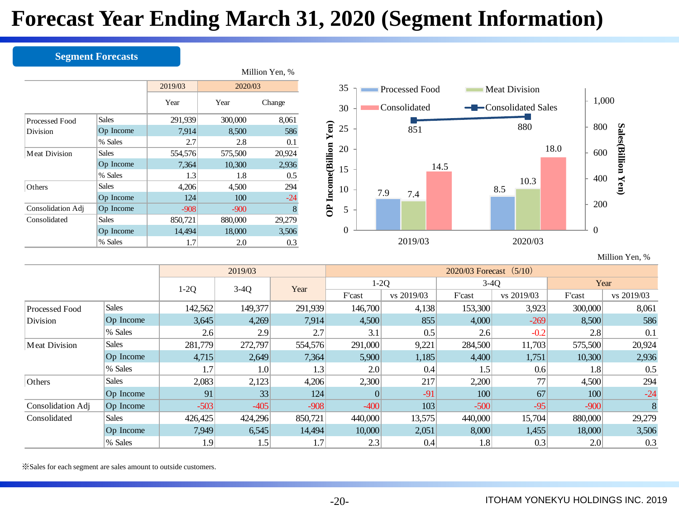## **Forecast Year Ending March 31, 2020 (Segment Information)**

### **Segment Forecasts**

|                      |              |         |         | Million Yen, % |  |
|----------------------|--------------|---------|---------|----------------|--|
|                      |              | 2019/03 | 2020/03 |                |  |
|                      |              | Year    | Year    | Change         |  |
| Processed Food       | <b>Sales</b> | 291,939 | 300,000 | 8,061          |  |
| Division             | Op Income    | 7,914   | 8,500   | 586            |  |
|                      | % Sales      | 2.7     | 2.8     | 0.1            |  |
| <b>Meat Division</b> | <b>Sales</b> | 554,576 | 575,500 | 20,924         |  |
|                      | Op Income    | 7,364   | 10,300  | 2,936          |  |
|                      | % Sales      | 1.3     | 1.8     | 0.5            |  |
| Others               | <b>Sales</b> | 4,206   | 4,500   | 294            |  |
|                      | Op Income    | 124     | 100     | $-24$          |  |
| Consolidation Adj    | Op Income    | $-908$  | $-900$  | 8              |  |
| Consolidated         | <b>Sales</b> | 850,721 | 880,000 | 29,279         |  |
|                      | Op Income    | 14,494  | 18,000  | 3,506          |  |
|                      | % Sales      | 1.7     | 2.0     | 0.3            |  |
|                      |              |         |         |                |  |
|                      |              |         | 2019/03 |                |  |



Million Yen, %

|                      |              |         | 2019/03 |         | $2020/03$ Forecast $(5/10)$ |            |         |            |         |            |  |  |  |
|----------------------|--------------|---------|---------|---------|-----------------------------|------------|---------|------------|---------|------------|--|--|--|
|                      |              | $1-2Q$  | $3-4Q$  | Year    |                             | $1-2Q$     | $3-4Q$  |            | Year    |            |  |  |  |
|                      |              |         |         |         | F'cast                      | vs 2019/03 | F'cast  | vs 2019/03 | F'cast  | vs 2019/03 |  |  |  |
| Processed Food       | <b>Sales</b> | 142,562 | 149,377 | 291,939 | 146,700                     | 4,138      | 153,300 | 3,923      | 300,000 | 8,061      |  |  |  |
| Division             | Op Income    | 3,645   | 4,269   | 7,914   | 4,500                       | 855        | 4,000   | $-269$     | 8,500   | 586        |  |  |  |
|                      | % Sales      | 2.6     | 2.9     | 2.7     | 3.1                         | 0.5        | 2.6     | $-0.2$     | 2.8     | 0.1        |  |  |  |
| <b>Meat Division</b> | <b>Sales</b> | 281,779 | 272,797 | 554,576 | 291,000                     | 9,221      | 284,500 | 11,703     | 575,500 | 20,924     |  |  |  |
|                      | Op Income    | 4,715   | 2,649   | 7,364   | 5,900                       | 1,185      | 4,400   | 1,751      | 10,300  | 2,936      |  |  |  |
|                      | % Sales      | 1.7     | 1.0     | 1.3     | 2.0                         | 0.4        | 1.5     | 0.6        | 1.8     | 0.5        |  |  |  |
| Others               | <b>Sales</b> | 2,083   | 2,123   | 4,206   | 2,300                       | 217        | 2,200   | 77         | 4,500   | 294        |  |  |  |
|                      | Op Income    | 91      | 33      | 124     |                             | $-91$      | 100     | 67         | 100     | $-24$      |  |  |  |
| Consolidation Adj    | Op Income    | $-503$  | $-405$  | $-908$  | $-400$                      | 103        | $-500$  | $-95$      | $-900$  | 8          |  |  |  |
| Consolidated         | <b>Sales</b> | 426,425 | 424,296 | 850,721 | 440,000                     | 13,575     | 440,000 | 15,704     | 880,000 | 29,279     |  |  |  |
|                      | Op Income    | 7,949   | 6,545   | 14,494  | 10,000                      | 2,051      | 8,000   | 1,455      | 18,000  | 3,506      |  |  |  |
|                      | % Sales      | 1.9     | 1.5     | 1.7     | 2.3                         | 0.4        | 1.8     | 0.3        | 2.0     | 0.3        |  |  |  |

※Sales for each segment are sales amount to outside customers.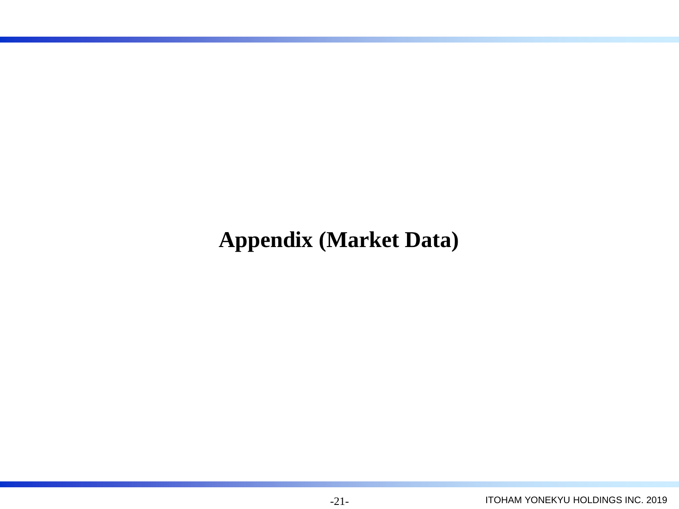## **Appendix (Market Data)**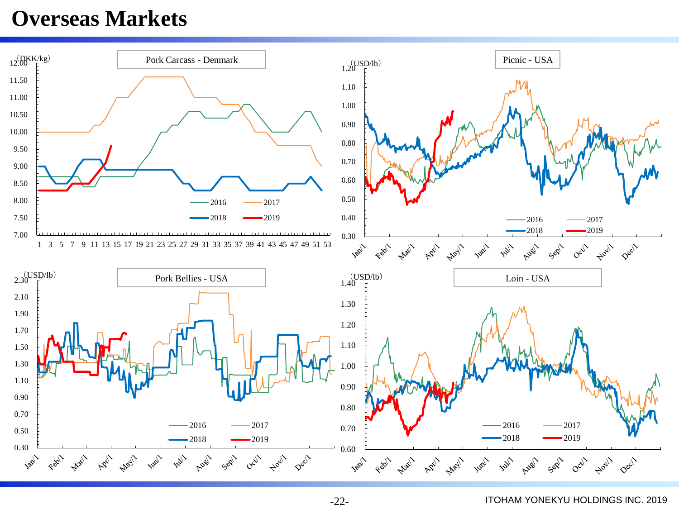### **Overseas Markets**



-22-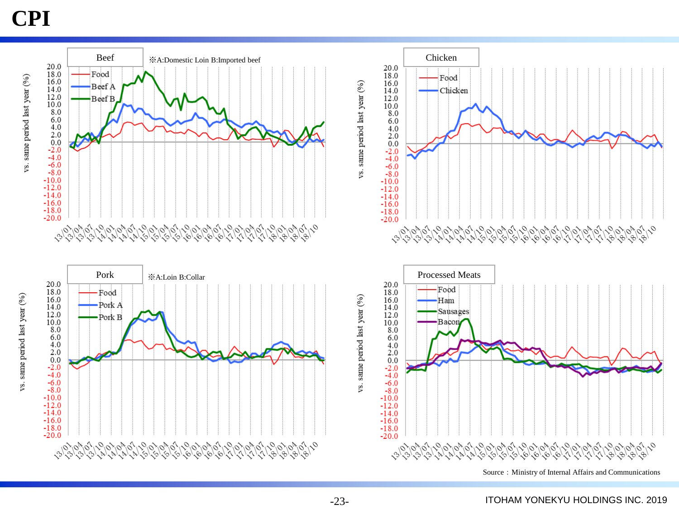## **CPI**

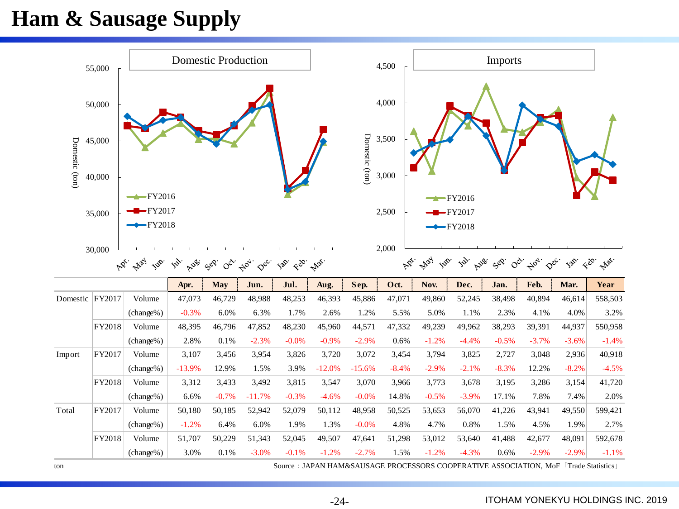## **Ham & Sausage Supply**

|                | 55,000                                                                                                                                                                 |                                     | <b>Domestic Production</b> |                         |               |         |          |          | 4,500   | Imports     |                                                |                 |                                                                  |         |                              |  |
|----------------|------------------------------------------------------------------------------------------------------------------------------------------------------------------------|-------------------------------------|----------------------------|-------------------------|---------------|---------|----------|----------|---------|-------------|------------------------------------------------|-----------------|------------------------------------------------------------------|---------|------------------------------|--|
|                | 50,000                                                                                                                                                                 |                                     |                            |                         |               |         |          |          | 4,000   |             |                                                |                 |                                                                  |         |                              |  |
|                | 45,000                                                                                                                                                                 |                                     |                            |                         |               |         |          | 3,500    |         |             |                                                |                 |                                                                  |         |                              |  |
| Domestic (ton) | 40,000                                                                                                                                                                 |                                     |                            | Domestic (ton)<br>3,000 |               |         |          |          |         |             |                                                |                 |                                                                  |         |                              |  |
|                | 35,000                                                                                                                                                                 | $-FY2016$<br>$-FY2017$<br>$-FY2018$ |                            |                         |               |         |          |          | 2,500   |             | $\rightarrow$ FY2016<br>$-FY2017$<br>$-FY2018$ |                 |                                                                  |         |                              |  |
|                | 30,000<br>May<br>$\kappa_{\vec{Q}}$<br><b>Job</b><br><b>B.</b><br>SO.<br>Job.<br>$\mathcal{L}_{\text{SD}} = \mathcal{L}_{\text{top}}.$<br>$\infty$<br>$\phi^{\alpha'}$ |                                     |                            |                         |               |         |          |          | 2,000   |             |                                                |                 |                                                                  |         |                              |  |
|                |                                                                                                                                                                        |                                     | Auer.                      |                         | $\varphi_{c}$ |         |          |          | AD.     | May<br>Jup. | <b>B.</b><br><b>N</b> SS                       | SOR.<br>$\circ$ | $\Leftrightarrow_{\mathcal{O}_{\mathcal{P}_f}}$<br>$\varphi_{c}$ | Jap.    | $\xi^{\mathfrak{S}}$<br>Max. |  |
|                |                                                                                                                                                                        |                                     | Apr.                       | <b>May</b>              | Jun.          | Jul.    | Aug.     | Sep.     | Oct.    | Nov.        | Dec.                                           | Jan.            | Feb.                                                             | Mar.    | Year                         |  |
|                | Domestic FY2017                                                                                                                                                        | Volume                              | 47,073                     | 46,729                  | 48,988        | 48,253  | 46,393   | 45,886   | 47,071  | 49,860      | 52,245                                         | 38,498          | 40,894                                                           | 46,614  | 558,503                      |  |
|                |                                                                                                                                                                        | $(charge\%)$                        | $-0.3%$                    | 6.0%                    | 6.3%          | 1.7%    | 2.6%     | 1.2%     | 5.5%    | 5.0%        | 1.1%                                           | 2.3%            | 4.1%                                                             | 4.0%    | 3.2%                         |  |
|                | FY2018                                                                                                                                                                 | Volume                              | 48,395                     | 46,796                  | 47,852        | 48,230  | 45,960   | 44,571   | 47,332  | 49,239      | 49,962                                         | 38,293          | 39,391                                                           | 44,937  | 550,958                      |  |
|                |                                                                                                                                                                        | (change%)                           | 2.8%                       | 0.1%                    | $-2.3%$       | $-0.0%$ | $-0.9%$  | $-2.9%$  | 0.6%    | $-1.2%$     | $-4.4%$                                        | $-0.5%$         | $-3.7%$                                                          | $-3.6%$ | $-1.4%$                      |  |
| Import         | FY2017                                                                                                                                                                 | Volume                              | 3,107                      | 3,456                   | 3,954         | 3,826   | 3,720    | 3,072    | 3,454   | 3,794       | 3,825                                          | 2,727           | 3,048                                                            | 2,936   | 40,918                       |  |
|                |                                                                                                                                                                        | $(charge\%)$                        | $-13.9%$                   | 12.9%                   | 1.5%          | 3.9%    | $-12.0%$ | $-15.6%$ | $-8.4%$ | $-2.9%$     | $-2.1%$                                        | $-8.3%$         | 12.2%                                                            | $-8.2%$ | $-4.5%$                      |  |
|                | FY2018                                                                                                                                                                 | Volume                              | 3,312                      | 3,433                   | 3,492         | 3,815   | 3,547    | 3,070    | 3,966   | 3,773       | 3,678                                          | 3,195           | 3,286                                                            | 3,154   | 41,720                       |  |
|                |                                                                                                                                                                        | (change%)                           | 6.6%                       | $-0.7%$                 | $-11.7%$      | $-0.3%$ | $-4.6%$  | $-0.0%$  | 14.8%   | $-0.5%$     | $-3.9%$                                        | 17.1%           | 7.8%                                                             | 7.4%    | 2.0%                         |  |
| Total          | FY2017                                                                                                                                                                 | Volume                              | 50,180                     | 50,185                  | 52,942        | 52,079  | 50,112   | 48,958   | 50,525  | 53,653      | 56,070                                         | 41,226          | 43,941                                                           | 49,550  | 599,421                      |  |
|                |                                                                                                                                                                        | $(charge\%)$                        | $-1.2%$                    | 6.4%                    | 6.0%          | 1.9%    | 1.3%     | $-0.0%$  | 4.8%    | 4.7%        | 0.8%                                           | 1.5%            | 4.5%                                                             | 1.9%    | 2.7%                         |  |
|                | FY2018                                                                                                                                                                 | Volume                              | 51,707                     | 50,229                  | 51,343        | 52,045  | 49,507   | 47,641   | 51,298  | 53,012      | 53,640                                         | 41,488          | 42,677                                                           | 48,091  | 592,678                      |  |

ton Source:JAPAN HAM&SAUSAGE PROCESSORS COOPERATIVE ASSOCIATION, MoF「Trade Statistics」

-24-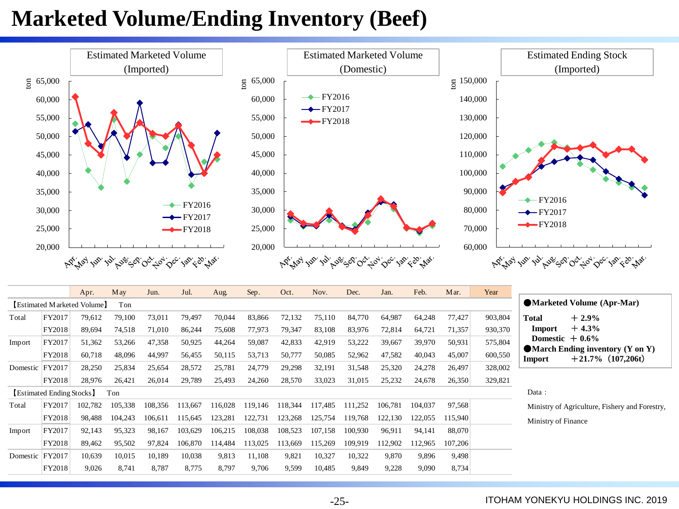## **Marketed Volume/Ending Inventory (Beef)**



| Total    | FY2017                         | 79,612  | 79,100  | 73,011  | 79,497  | 70,044  | 83,866  | 72,132  | 75,110  | 84,770  | 64,987  | 64,248  | 77,427  | 903,804 | <b>Total</b><br>$+2.9%$                                                          |
|----------|--------------------------------|---------|---------|---------|---------|---------|---------|---------|---------|---------|---------|---------|---------|---------|----------------------------------------------------------------------------------|
|          | FY2018                         | 89,694  | 74,518  | 71,010  | 86,244  | 75,608  | 77,973  | 79,347  | 83,108  | 83,976  | 72,814  | 64,721  | 71,357  | 930,370 | $+4.3%$<br>Import                                                                |
| Import   | FY2017                         | 51,362  | 53,266  | 47,358  | 50,925  | 44,264  | 59,087  | 42,833  | 42,919  | 53,222  | 39,667  | 39,970  | 50,931  | 575,804 | Domestic $+0.6\%$                                                                |
|          | FY2018                         | 60,718  | 48,096  | 44.997  | 56,455  | 50,115  | 53,713  | 50,777  | 50,085  | 52,962  | 47,582  | 40,043  | 45,007  | 600,550 | $\blacksquare$ March Ending inventory (Y on Y)<br>$+21.7\%$ (107,206t)<br>Import |
| Domestic | FY2017                         | 28,250  | 25,834  | 25,654  | 28,572  | 25,781  | 24,779  | 29,298  | 32,191  | 31,548  | 25,320  | 24,278  | 26,497  | 328,002 |                                                                                  |
|          | FY2018                         | 28,976  | 26,421  | 26,014  | 29,789  | 25,493  | 24,260  | 28,570  | 33,023  | 31,015  | 25,232  | 24,678  | 26,350  | 329,821 |                                                                                  |
|          | <b>Estimated Ending Stocks</b> |         | Ton     |         |         |         |         |         |         |         |         |         |         |         | Data :                                                                           |
| Total    | FY2017                         | 102.782 | 105,338 | 108,356 | 113,667 | 116,028 | 119,146 | 118,344 | 117,485 | 111,252 | 106,781 | 104,037 | 97,568  |         | Ministry of Agriculture, Fishery and Forestry,                                   |
|          | FY2018                         | 98,488  | 104.243 | 106.611 | 115,645 | 123,281 | 122,731 | 123,268 | 125,754 | 119,768 | 122,130 | 122,055 | 115,940 |         | Ministry of Finance                                                              |
| Import   | FY2017                         | 92,143  | 95,323  | 98.167  | 103,629 | 106,215 | 108,038 | 108,523 | 107,158 | 100.930 | 96,911  | 94,141  | 88,070  |         |                                                                                  |
|          | FY2018                         | 89,462  | 95,502  | 97.824  | 106,870 | 114.484 | 113,025 | 113.669 | 115,269 | 109.919 | 112.902 | 112.965 | 107,206 |         |                                                                                  |
| Domestic | $ $ FY2017                     | 10,639  | 10,015  | 10,189  | 10,038  | 9,813   | 11,108  | 9,821   | 10,327  | 10,322  | 9,870   | 9,896   | 9,498   |         |                                                                                  |
|          | FY2018                         | 9,026   | 8,741   | 8,787   | 8,775   | 8,797   | 9,706   | 9,599   | 10,485  | 9,849   | 9,228   | 9,090   | 8,734   |         |                                                                                  |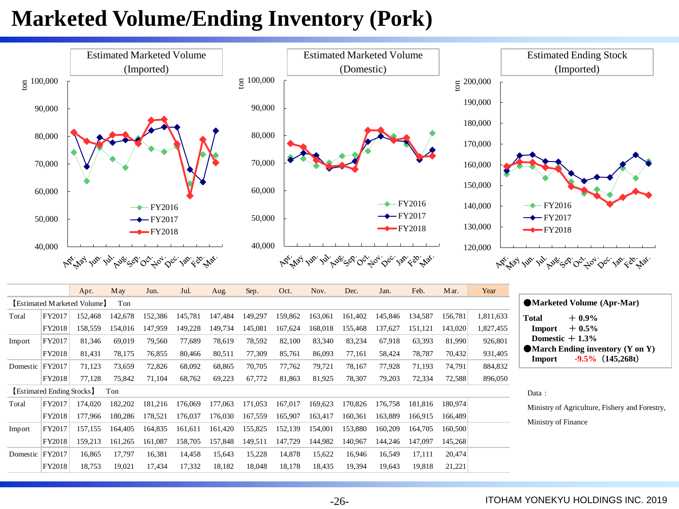## **Marketed Volume/Ending Inventory (Pork)**

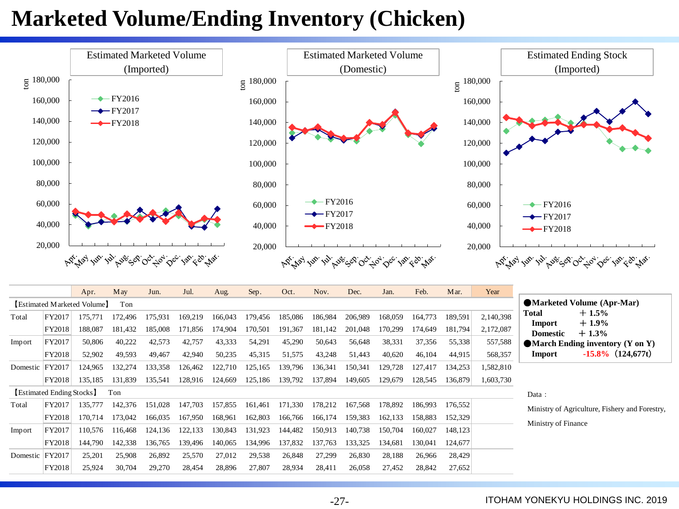## **Marketed Volume/Ending Inventory (Chicken)**